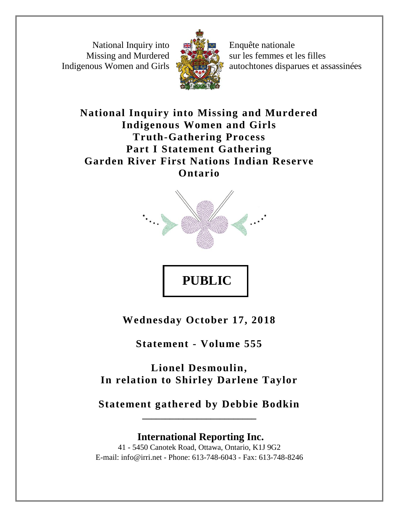National Inquiry into Missing and Murdered Indigenous Women and Girls



Enquête nationale sur les femmes et les filles autochtones disparues et assassinées

**National Inquiry into Missing and Murdered Indigenous Women and Girls Truth-Gathering Process Part I Statement Gathering Garden River First Nations Indian Reserve Ontario**



**PUBLIC** 

**Wednesday October 17, 2018**

**Statement - Volume 555**

**Lionel Desmoulin, In relation to Shirley Darlene Taylor**

**Statement gathered by Debbie Bodkin \_\_\_\_\_\_\_\_\_\_\_\_\_\_\_\_\_\_\_\_\_\_\_\_\_**

**International Reporting Inc.** 41 - 5450 Canotek Road, Ottawa, Ontario, K1J 9G2 E-mail: info@irri.net - Phone: 613-748-6043 - Fax: 613-748-8246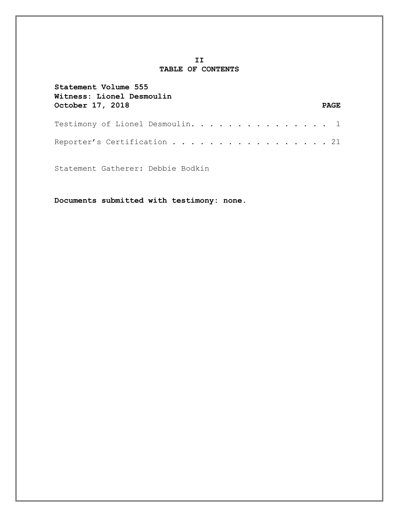## **II TABLE OF CONTENTS**

| Statement Volume 555<br>Witness: Lionel Desmoulin |  |  |  |  |  |  |  |             |
|---------------------------------------------------|--|--|--|--|--|--|--|-------------|
| October 17, 2018                                  |  |  |  |  |  |  |  | <b>PAGE</b> |
| Testimony of Lionel Desmoulin. 1                  |  |  |  |  |  |  |  |             |
| Reporter's Certification 21                       |  |  |  |  |  |  |  |             |

Statement Gatherer: Debbie Bodkin

**Documents submitted with testimony: none.**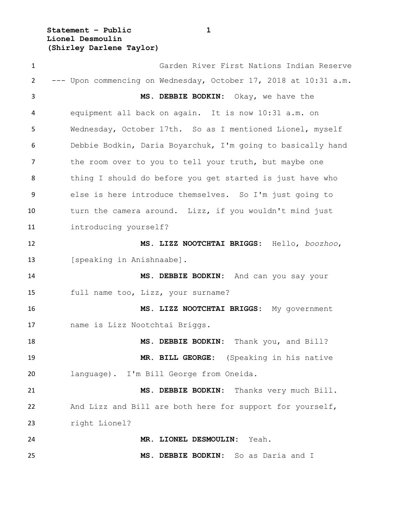**Statement – Public 1 Lionel Desmoulin (Shirley Darlene Taylor)**

 Garden River First Nations Indian Reserve --- Upon commencing on Wednesday, October 17, 2018 at 10:31 a.m. **MS. DEBBIE BODKIN:** Okay, we have the equipment all back on again. It is now 10:31 a.m. on Wednesday, October 17th. So as I mentioned Lionel, myself Debbie Bodkin, Daria Boyarchuk, I'm going to basically hand 7 the room over to you to tell your truth, but maybe one thing I should do before you get started is just have who else is here introduce themselves. So I'm just going to turn the camera around. Lizz, if you wouldn't mind just introducing yourself? **MS. LIZZ NOOTCHTAI BRIGGS:** Hello, *boozhoo*, 13 [speaking in Anishnaabe]. **MS. DEBBIE BODKIN:** And can you say your full name too, Lizz, your surname? **MS. LIZZ NOOTCHTAI BRIGGS:** My government name is Lizz Nootchtai Briggs. **MS. DEBBIE BODKIN:** Thank you, and Bill? **MR. BILL GEORGE:** (Speaking in his native language). I'm Bill George from Oneida. **MS. DEBBIE BODKIN:** Thanks very much Bill. And Lizz and Bill are both here for support for yourself, right Lionel? **MR. LIONEL DESMOULIN:** Yeah. **MS. DEBBIE BODKIN:** So as Daria and I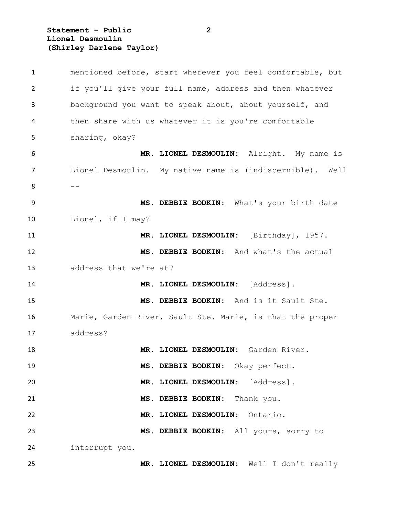**Statement – Public 2 Lionel Desmoulin (Shirley Darlene Taylor)**

 mentioned before, start wherever you feel comfortable, but if you'll give your full name, address and then whatever background you want to speak about, about yourself, and then share with us whatever it is you're comfortable sharing, okay? **MR. LIONEL DESMOULIN:** Alright. My name is Lionel Desmoulin. My native name is (indiscernible). Well  $-$  **MS. DEBBIE BODKIN:** What's your birth date Lionel, if I may? **MR. LIONEL DESMOULIN:** [Birthday], 1957. **MS. DEBBIE BODKIN:** And what's the actual address that we're at? **MR. LIONEL DESMOULIN:** [Address]. **MS. DEBBIE BODKIN:** And is it Sault Ste. Marie, Garden River, Sault Ste. Marie, is that the proper address? **MR. LIONEL DESMOULIN:** Garden River. **MS. DEBBIE BODKIN:** Okay perfect. **MR. LIONEL DESMOULIN:** [Address]. **MS. DEBBIE BODKIN:** Thank you. **MR. LIONEL DESMOULIN:** Ontario. **MS. DEBBIE BODKIN:** All yours, sorry to interrupt you. **MR. LIONEL DESMOULIN:** Well I don't really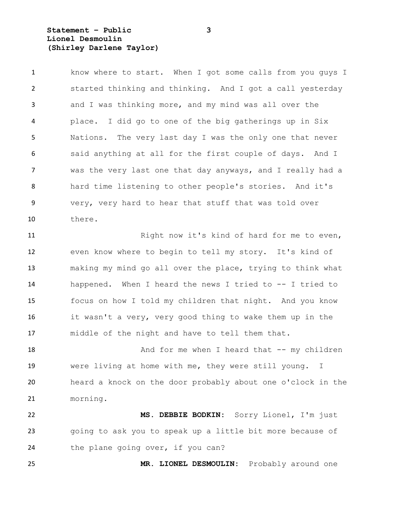**Statement – Public 3 Lionel Desmoulin (Shirley Darlene Taylor)**

 know where to start. When I got some calls from you guys I started thinking and thinking. And I got a call yesterday and I was thinking more, and my mind was all over the place. I did go to one of the big gatherings up in Six Nations. The very last day I was the only one that never said anything at all for the first couple of days. And I was the very last one that day anyways, and I really had a hard time listening to other people's stories. And it's very, very hard to hear that stuff that was told over there.

11 Right now it's kind of hard for me to even, even know where to begin to tell my story. It's kind of making my mind go all over the place, trying to think what happened. When I heard the news I tried to -- I tried to focus on how I told my children that night. And you know it wasn't a very, very good thing to wake them up in the middle of the night and have to tell them that.

18 And for me when I heard that -- my children were living at home with me, they were still young. I heard a knock on the door probably about one o'clock in the morning.

 **MS. DEBBIE BODKIN:** Sorry Lionel, I'm just going to ask you to speak up a little bit more because of 24 the plane going over, if you can?

**MR. LIONEL DESMOULIN:** Probably around one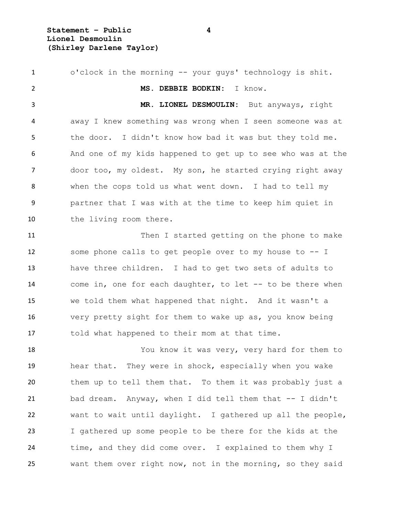**Statement – Public 4 Lionel Desmoulin (Shirley Darlene Taylor)**

 o'clock in the morning -- your guys' technology is shit. **MS. DEBBIE BODKIN:** I know. **MR. LIONEL DESMOULIN:** But anyways, right away I knew something was wrong when I seen someone was at 5 the door. I didn't know how bad it was but they told me. And one of my kids happened to get up to see who was at the door too, my oldest. My son, he started crying right away when the cops told us what went down. I had to tell my partner that I was with at the time to keep him quiet in the living room there. Then I started getting on the phone to make some phone calls to get people over to my house to -- I have three children. I had to get two sets of adults to come in, one for each daughter, to let -- to be there when we told them what happened that night. And it wasn't a very pretty sight for them to wake up as, you know being told what happened to their mom at that time. You know it was very, very hard for them to hear that. They were in shock, especially when you wake them up to tell them that. To them it was probably just a bad dream. Anyway, when I did tell them that -- I didn't want to wait until daylight. I gathered up all the people, I gathered up some people to be there for the kids at the time, and they did come over. I explained to them why I want them over right now, not in the morning, so they said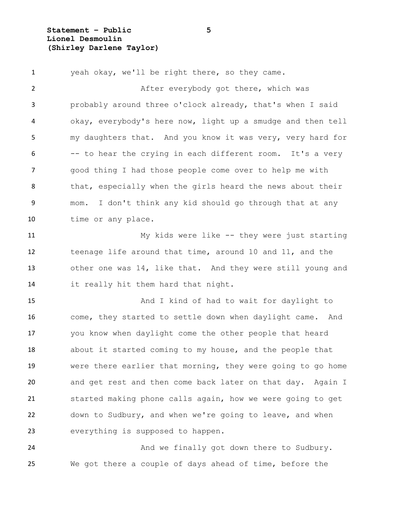**Statement – Public 5 Lionel Desmoulin (Shirley Darlene Taylor)**

 yeah okay, we'll be right there, so they came. 2 After everybody got there, which was probably around three o'clock already, that's when I said okay, everybody's here now, light up a smudge and then tell my daughters that. And you know it was very, very hard for -- to hear the crying in each different room. It's a very good thing I had those people come over to help me with 8 that, especially when the girls heard the news about their mom. I don't think any kid should go through that at any time or any place. My kids were like -- they were just starting teenage life around that time, around 10 and 11, and the other one was 14, like that. And they were still young and it really hit them hard that night. 15 And I kind of had to wait for daylight to come, they started to settle down when daylight came. And you know when daylight come the other people that heard about it started coming to my house, and the people that were there earlier that morning, they were going to go home and get rest and then come back later on that day. Again I

 down to Sudbury, and when we're going to leave, and when everything is supposed to happen.

started making phone calls again, how we were going to get

24 And we finally got down there to Sudbury. We got there a couple of days ahead of time, before the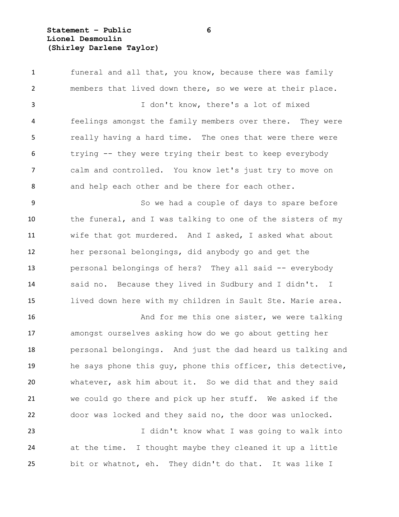## **Statement – Public 6 Lionel Desmoulin (Shirley Darlene Taylor)**

 funeral and all that, you know, because there was family members that lived down there, so we were at their place. I don't know, there's a lot of mixed feelings amongst the family members over there. They were really having a hard time. The ones that were there were trying -- they were trying their best to keep everybody calm and controlled. You know let's just try to move on 8 and help each other and be there for each other. 9 So we had a couple of days to spare before the funeral, and I was talking to one of the sisters of my wife that got murdered. And I asked, I asked what about her personal belongings, did anybody go and get the personal belongings of hers? They all said -- everybody said no. Because they lived in Sudbury and I didn't. I lived down here with my children in Sault Ste. Marie area. 16 And for me this one sister, we were talking amongst ourselves asking how do we go about getting her personal belongings. And just the dad heard us talking and he says phone this guy, phone this officer, this detective, whatever, ask him about it. So we did that and they said we could go there and pick up her stuff. We asked if the door was locked and they said no, the door was unlocked. I didn't know what I was going to walk into at the time. I thought maybe they cleaned it up a little bit or whatnot, eh. They didn't do that. It was like I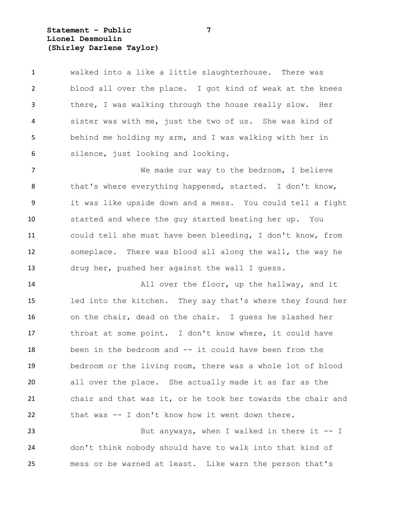**Statement – Public 7 Lionel Desmoulin (Shirley Darlene Taylor)**

 walked into a like a little slaughterhouse. There was blood all over the place. I got kind of weak at the knees there, I was walking through the house really slow. Her sister was with me, just the two of us. She was kind of behind me holding my arm, and I was walking with her in silence, just looking and looking.

 We made our way to the bedroom, I believe 8 that's where everything happened, started. I don't know, it was like upside down and a mess. You could tell a fight started and where the guy started beating her up. You could tell she must have been bleeding, I don't know, from someplace. There was blood all along the wall, the way he drug her, pushed her against the wall I guess.

 All over the floor, up the hallway, and it led into the kitchen. They say that's where they found her on the chair, dead on the chair. I guess he slashed her throat at some point. I don't know where, it could have been in the bedroom and -- it could have been from the bedroom or the living room, there was a whole lot of blood all over the place. She actually made it as far as the chair and that was it, or he took her towards the chair and that was -- I don't know how it went down there.

23 But anyways, when I walked in there it -- I don't think nobody should have to walk into that kind of mess or be warned at least. Like warn the person that's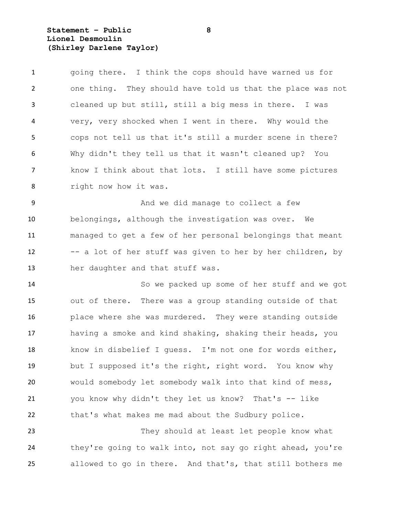## **Statement – Public 8 Lionel Desmoulin (Shirley Darlene Taylor)**

 going there. I think the cops should have warned us for one thing. They should have told us that the place was not cleaned up but still, still a big mess in there. I was very, very shocked when I went in there. Why would the cops not tell us that it's still a murder scene in there? Why didn't they tell us that it wasn't cleaned up? You know I think about that lots. I still have some pictures right now how it was.

9 And we did manage to collect a few belongings, although the investigation was over. We managed to get a few of her personal belongings that meant -- a lot of her stuff was given to her by her children, by her daughter and that stuff was.

 So we packed up some of her stuff and we got out of there. There was a group standing outside of that place where she was murdered. They were standing outside having a smoke and kind shaking, shaking their heads, you know in disbelief I guess. I'm not one for words either, but I supposed it's the right, right word. You know why would somebody let somebody walk into that kind of mess, you know why didn't they let us know? That's -- like that's what makes me mad about the Sudbury police.

 They should at least let people know what 24 they're going to walk into, not say go right ahead, you're allowed to go in there. And that's, that still bothers me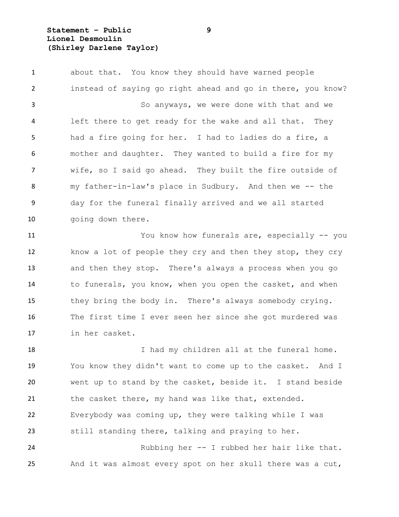## **Statement – Public 9 Lionel Desmoulin (Shirley Darlene Taylor)**

 about that. You know they should have warned people instead of saying go right ahead and go in there, you know? So anyways, we were done with that and we left there to get ready for the wake and all that. They had a fire going for her. I had to ladies do a fire, a mother and daughter. They wanted to build a fire for my wife, so I said go ahead. They built the fire outside of my father-in-law's place in Sudbury. And then we -- the day for the funeral finally arrived and we all started 10 going down there.

 You know how funerals are, especially -- you know a lot of people they cry and then they stop, they cry and then they stop. There's always a process when you go to funerals, you know, when you open the casket, and when they bring the body in. There's always somebody crying. The first time I ever seen her since she got murdered was in her casket.

18 I had my children all at the funeral home. You know they didn't want to come up to the casket. And I went up to stand by the casket, beside it. I stand beside 21 the casket there, my hand was like that, extended. Everybody was coming up, they were talking while I was still standing there, talking and praying to her. Rubbing her -- I rubbed her hair like that.

And it was almost every spot on her skull there was a cut,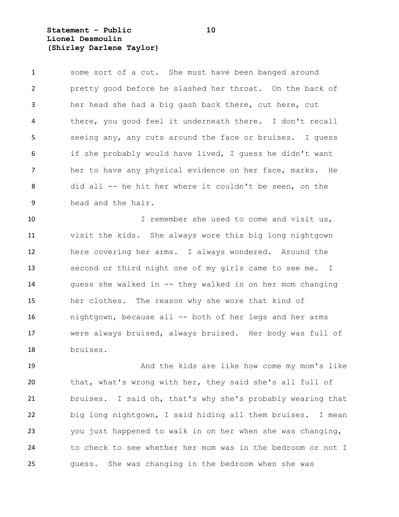**Statement – Public 10 Lionel Desmoulin (Shirley Darlene Taylor)**

 some sort of a cut. She must have been banged around pretty good before he slashed her throat. On the back of her head she had a big gash back there, cut here, cut there, you good feel it underneath there. I don't recall seeing any, any cuts around the face or bruises. I guess if she probably would have lived, I guess he didn't want her to have any physical evidence on her face, marks. He did all -- he hit her where it couldn't be seen, on the head and the hair.

10 I remember she used to come and visit us, visit the kids. She always wore this big long nightgown here covering her arms. I always wondered. Around the second or third night one of my girls came to see me. I guess she walked in -- they walked in on her mom changing her clothes. The reason why she wore that kind of nightgown, because all -- both of her legs and her arms were always bruised, always bruised. Her body was full of bruises.

 And the kids are like how come my mom's like that, what's wrong with her, they said she's all full of bruises. I said oh, that's why she's probably wearing that big long nightgown, I said hiding all them bruises. I mean you just happened to walk in on her when she was changing, to check to see whether her mom was in the bedroom or not I guess. She was changing in the bedroom when she was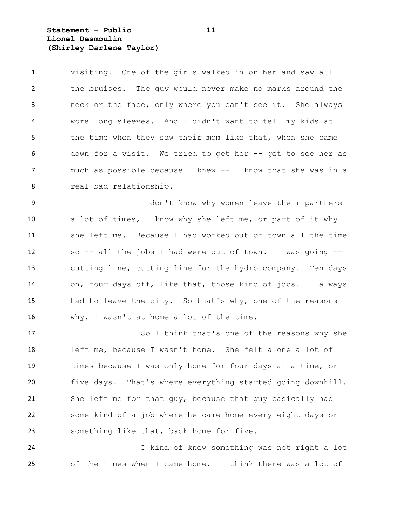**Statement – Public 11 Lionel Desmoulin (Shirley Darlene Taylor)**

 visiting. One of the girls walked in on her and saw all the bruises. The guy would never make no marks around the neck or the face, only where you can't see it. She always wore long sleeves. And I didn't want to tell my kids at 5 the time when they saw their mom like that, when she came down for a visit. We tried to get her -- get to see her as much as possible because I knew -- I know that she was in a real bad relationship.

 I don't know why women leave their partners a lot of times, I know why she left me, or part of it why she left me. Because I had worked out of town all the time so -- all the jobs I had were out of town. I was going -- cutting line, cutting line for the hydro company. Ten days on, four days off, like that, those kind of jobs. I always had to leave the city. So that's why, one of the reasons why, I wasn't at home a lot of the time.

17 So I think that's one of the reasons why she left me, because I wasn't home. She felt alone a lot of times because I was only home for four days at a time, or five days. That's where everything started going downhill. She left me for that guy, because that guy basically had some kind of a job where he came home every eight days or something like that, back home for five.

 I kind of knew something was not right a lot of the times when I came home. I think there was a lot of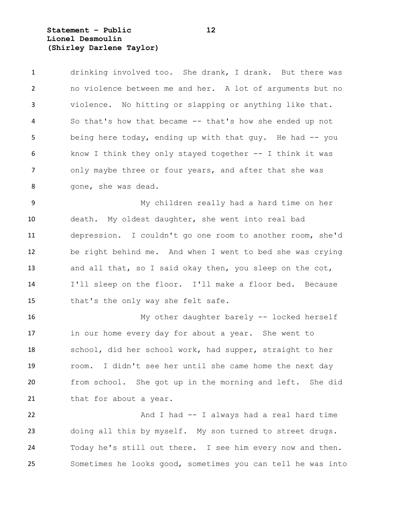**Statement – Public 12 Lionel Desmoulin (Shirley Darlene Taylor)**

 drinking involved too. She drank, I drank. But there was no violence between me and her. A lot of arguments but no violence. No hitting or slapping or anything like that. So that's how that became -- that's how she ended up not 5 being here today, ending up with that guy. He had -- you know I think they only stayed together -- I think it was 7 only maybe three or four years, and after that she was gone, she was dead.

 My children really had a hard time on her death. My oldest daughter, she went into real bad depression. I couldn't go one room to another room, she'd be right behind me. And when I went to bed she was crying and all that, so I said okay then, you sleep on the cot, I'll sleep on the floor. I'll make a floor bed. Because 15 that's the only way she felt safe.

 My other daughter barely -- locked herself in our home every day for about a year. She went to school, did her school work, had supper, straight to her room. I didn't see her until she came home the next day from school. She got up in the morning and left. She did 21 that for about a year.

22 And I had -- I always had a real hard time doing all this by myself. My son turned to street drugs. Today he's still out there. I see him every now and then. Sometimes he looks good, sometimes you can tell he was into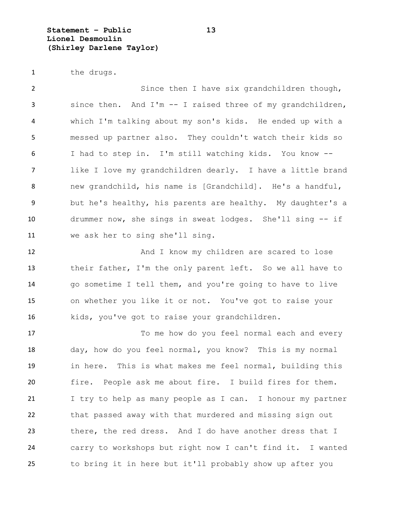**Statement – Public 13 Lionel Desmoulin (Shirley Darlene Taylor)**

1 the drugs.

 Since then I have six grandchildren though, since then. And I'm -- I raised three of my grandchildren, which I'm talking about my son's kids. He ended up with a messed up partner also. They couldn't watch their kids so I had to step in. I'm still watching kids. You know -- like I love my grandchildren dearly. I have a little brand new grandchild, his name is [Grandchild]. He's a handful, but he's healthy, his parents are healthy. My daughter's a drummer now, she sings in sweat lodges. She'll sing -- if we ask her to sing she'll sing.

12 And I know my children are scared to lose their father, I'm the only parent left. So we all have to go sometime I tell them, and you're going to have to live on whether you like it or not. You've got to raise your kids, you've got to raise your grandchildren.

17 To me how do you feel normal each and every day, how do you feel normal, you know? This is my normal in here. This is what makes me feel normal, building this fire. People ask me about fire. I build fires for them. I try to help as many people as I can. I honour my partner that passed away with that murdered and missing sign out there, the red dress. And I do have another dress that I carry to workshops but right now I can't find it. I wanted to bring it in here but it'll probably show up after you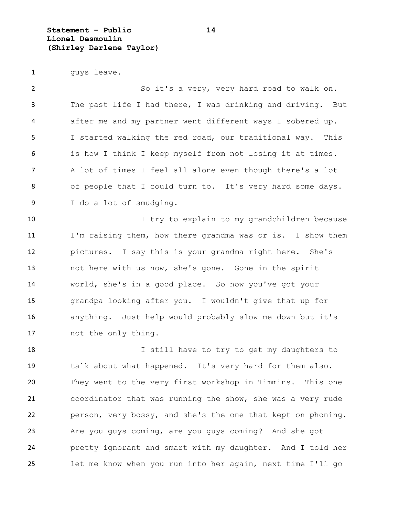**Statement – Public 14 Lionel Desmoulin (Shirley Darlene Taylor)**

1 guys leave.

 So it's a very, very hard road to walk on. The past life I had there, I was drinking and driving. But after me and my partner went different ways I sobered up. I started walking the red road, our traditional way. This is how I think I keep myself from not losing it at times. A lot of times I feel all alone even though there's a lot 8 of people that I could turn to. It's very hard some days. I do a lot of smudging.

 I try to explain to my grandchildren because I'm raising them, how there grandma was or is. I show them pictures. I say this is your grandma right here. She's not here with us now, she's gone. Gone in the spirit world, she's in a good place. So now you've got your grandpa looking after you. I wouldn't give that up for anything. Just help would probably slow me down but it's not the only thing.

18 I still have to try to get my daughters to talk about what happened. It's very hard for them also. They went to the very first workshop in Timmins. This one coordinator that was running the show, she was a very rude person, very bossy, and she's the one that kept on phoning. Are you guys coming, are you guys coming? And she got pretty ignorant and smart with my daughter. And I told her let me know when you run into her again, next time I'll go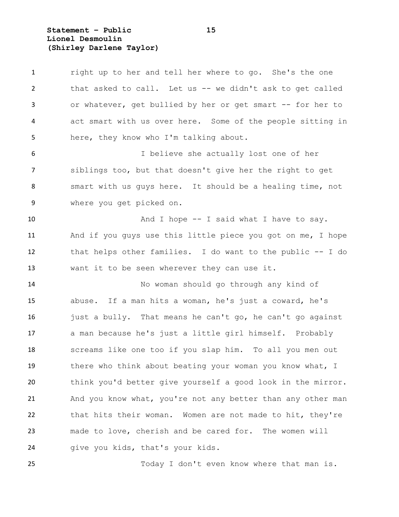**Statement – Public 15 Lionel Desmoulin (Shirley Darlene Taylor)**

1 right up to her and tell her where to go. She's the one that asked to call. Let us -- we didn't ask to get called or whatever, get bullied by her or get smart -- for her to act smart with us over here. Some of the people sitting in here, they know who I'm talking about. I believe she actually lost one of her siblings too, but that doesn't give her the right to get smart with us guys here. It should be a healing time, not where you get picked on. 10 And I hope -- I said what I have to say. And if you guys use this little piece you got on me, I hope that helps other families. I do want to the public -- I do want it to be seen wherever they can use it. No woman should go through any kind of abuse. If a man hits a woman, he's just a coward, he's just a bully. That means he can't go, he can't go against a man because he's just a little girl himself. Probably screams like one too if you slap him. To all you men out 19 there who think about beating your woman you know what, I think you'd better give yourself a good look in the mirror. 21 And you know what, you're not any better than any other man that hits their woman. Women are not made to hit, they're made to love, cherish and be cared for. The women will give you kids, that's your kids.

Today I don't even know where that man is.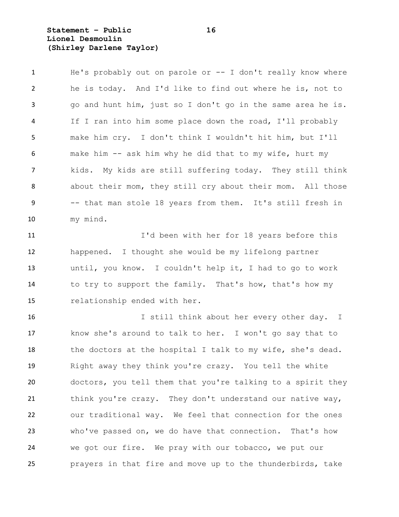**Statement – Public 16 Lionel Desmoulin (Shirley Darlene Taylor)**

 He's probably out on parole or -- I don't really know where he is today. And I'd like to find out where he is, not to go and hunt him, just so I don't go in the same area he is. If I ran into him some place down the road, I'll probably make him cry. I don't think I wouldn't hit him, but I'll make him -- ask him why he did that to my wife, hurt my kids. My kids are still suffering today. They still think about their mom, they still cry about their mom. All those -- that man stole 18 years from them. It's still fresh in my mind.

 I'd been with her for 18 years before this happened. I thought she would be my lifelong partner until, you know. I couldn't help it, I had to go to work 14 to try to support the family. That's how, that's how my relationship ended with her.

 I still think about her every other day. I know she's around to talk to her. I won't go say that to 18 the doctors at the hospital I talk to my wife, she's dead. Right away they think you're crazy. You tell the white doctors, you tell them that you're talking to a spirit they 21 think you're crazy. They don't understand our native way, our traditional way. We feel that connection for the ones who've passed on, we do have that connection. That's how we got our fire. We pray with our tobacco, we put our prayers in that fire and move up to the thunderbirds, take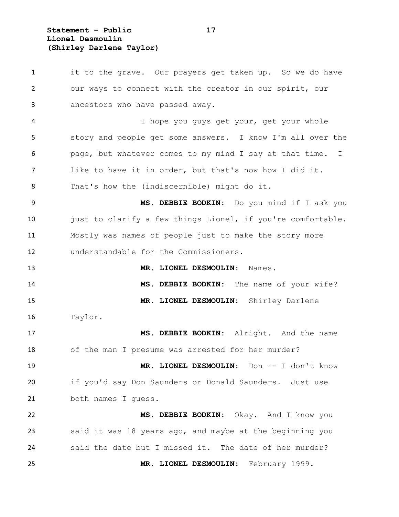**Statement – Public 17 Lionel Desmoulin (Shirley Darlene Taylor)**

1 it to the grave. Our prayers get taken up. So we do have our ways to connect with the creator in our spirit, our ancestors who have passed away. I hope you guys get your, get your whole story and people get some answers. I know I'm all over the page, but whatever comes to my mind I say at that time. I like to have it in order, but that's now how I did it. That's how the (indiscernible) might do it. **MS. DEBBIE BODKIN:** Do you mind if I ask you 10 just to clarify a few things Lionel, if you're comfortable. Mostly was names of people just to make the story more understandable for the Commissioners. **MR. LIONEL DESMOULIN:** Names. **MS. DEBBIE BODKIN:** The name of your wife? **MR. LIONEL DESMOULIN:** Shirley Darlene Taylor. **MS. DEBBIE BODKIN:** Alright. And the name of the man I presume was arrested for her murder? **MR. LIONEL DESMOULIN:** Don -- I don't know if you'd say Don Saunders or Donald Saunders. Just use both names I guess. **MS. DEBBIE BODKIN:** Okay. And I know you said it was 18 years ago, and maybe at the beginning you said the date but I missed it. The date of her murder? **MR. LIONEL DESMOULIN:** February 1999.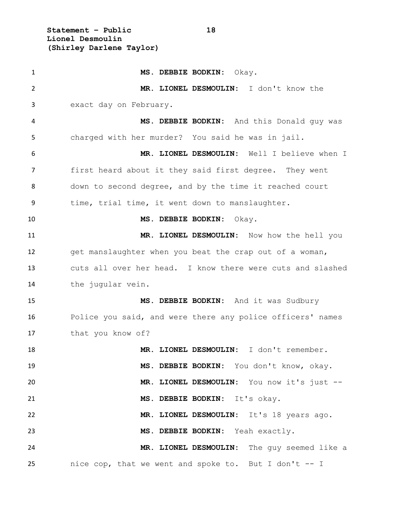**Statement – Public 18 Lionel Desmoulin (Shirley Darlene Taylor)**

 **MS. DEBBIE BODKIN:** Okay. **MR. LIONEL DESMOULIN:** I don't know the exact day on February. **MS. DEBBIE BODKIN:** And this Donald guy was charged with her murder? You said he was in jail. **MR. LIONEL DESMOULIN:** Well I believe when I first heard about it they said first degree. They went down to second degree, and by the time it reached court 9 time, trial time, it went down to manslaughter. **MS. DEBBIE BODKIN:** Okay. **MR. LIONEL DESMOULIN:** Now how the hell you get manslaughter when you beat the crap out of a woman, cuts all over her head. I know there were cuts and slashed the jugular vein. **MS. DEBBIE BODKIN:** And it was Sudbury Police you said, and were there any police officers' names that you know of? **MR. LIONEL DESMOULIN:** I don't remember. **MS. DEBBIE BODKIN:** You don't know, okay. **MR. LIONEL DESMOULIN:** You now it's just -- **MS. DEBBIE BODKIN:** It's okay. **MR. LIONEL DESMOULIN:** It's 18 years ago. **MS. DEBBIE BODKIN:** Yeah exactly. **MR. LIONEL DESMOULIN:** The guy seemed like a nice cop, that we went and spoke to. But I don't -- I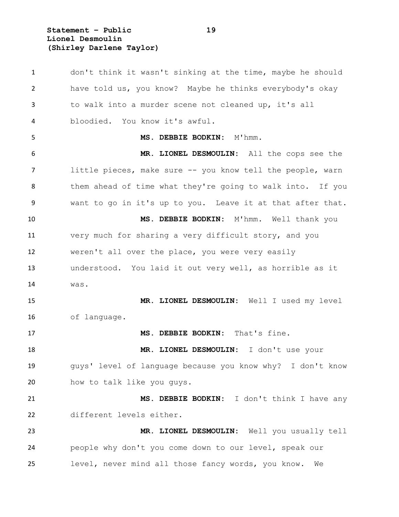**Statement – Public 19 Lionel Desmoulin (Shirley Darlene Taylor)**

 don't think it wasn't sinking at the time, maybe he should have told us, you know? Maybe he thinks everybody's okay to walk into a murder scene not cleaned up, it's all bloodied. You know it's awful. **MS. DEBBIE BODKIN:** M'hmm. **MR. LIONEL DESMOULIN:** All the cops see the little pieces, make sure -- you know tell the people, warn 8 them ahead of time what they're going to walk into. If you want to go in it's up to you. Leave it at that after that. **MS. DEBBIE BODKIN:** M'hmm. Well thank you very much for sharing a very difficult story, and you weren't all over the place, you were very easily understood. You laid it out very well, as horrible as it was. **MR. LIONEL DESMOULIN:** Well I used my level of language. **MS. DEBBIE BODKIN:** That's fine. **MR. LIONEL DESMOULIN:** I don't use your guys' level of language because you know why? I don't know 20 how to talk like you guys. **MS. DEBBIE BODKIN:** I don't think I have any different levels either. **MR. LIONEL DESMOULIN:** Well you usually tell people why don't you come down to our level, speak our level, never mind all those fancy words, you know. We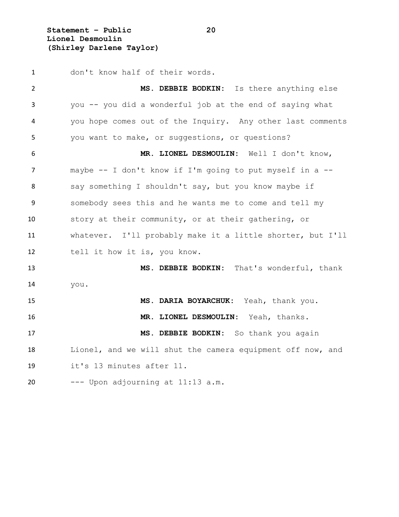**Statement – Public 20 Lionel Desmoulin (Shirley Darlene Taylor)**

 don't know half of their words. **MS. DEBBIE BODKIN:** Is there anything else you -- you did a wonderful job at the end of saying what you hope comes out of the Inquiry. Any other last comments you want to make, or suggestions, or questions? **MR. LIONEL DESMOULIN:** Well I don't know, maybe -- I don't know if I'm going to put myself in a -- 8 say something I shouldn't say, but you know maybe if somebody sees this and he wants me to come and tell my story at their community, or at their gathering, or whatever. I'll probably make it a little shorter, but I'll 12 tell it how it is, you know. **MS. DEBBIE BODKIN:** That's wonderful, thank you. **MS. DARIA BOYARCHUK:** Yeah, thank you. **MR. LIONEL DESMOULIN:** Yeah, thanks. **MS. DEBBIE BODKIN:** So thank you again Lionel, and we will shut the camera equipment off now, and it's 13 minutes after 11. --- Upon adjourning at 11:13 a.m.